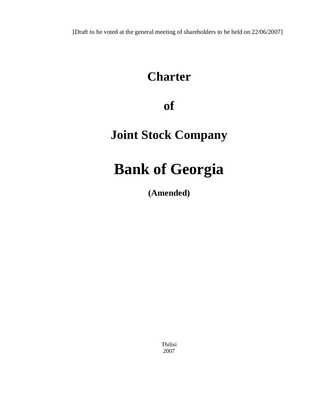[Draft to be voted at the general meeting of shareholders to be held on 22/06/2007]

## **Charter**

### **of**

# **Joint Stock Company**

# **Bank of Georgia**

**(Amended)** 

Tbilisi 2007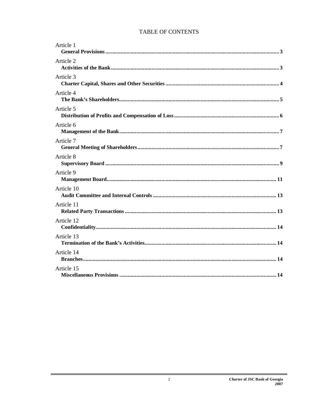### TABLE OF CONTENTS

| Article 1  |
|------------|
| Article 2  |
| Article 3  |
| Article 4  |
| Article 5  |
| Article 6  |
| Article 7  |
| Article 8  |
| Article 9  |
| Article 10 |
| Article 11 |
| Article 12 |
| Article 13 |
| Article 14 |
| Article 15 |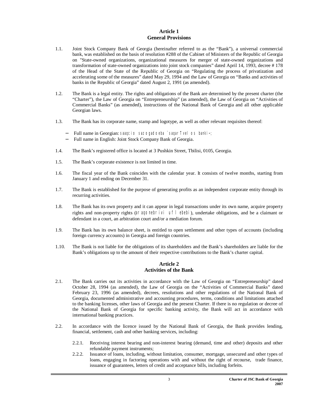#### **Article 1 General Provisions**

- 1.1. Joint Stock Company Bank of Georgia (hereinafter referred to as the "Bank"), a universal commercial bank, was established on the basis of resolution #288 of the Cabinet of Ministers of the Republic of Georgia on "State-owned organizations, organizational measures for merger of state-owned organizations and transformation of state-owned organizations into joint stock companies" dated April 14, 1993, decree # 178 of the Head of the State of the Republic of Georgia on "Regulating the process of privatization and accelerating some of the measures" dated May 29, 1994 and the Law of Georgia on "Banks and activities of banks in the Republic of Georgia" dated August 2, 1991 (as amended).
- 1.2. The Bank is a legal entity. The rights and obligations of the Bank are determined by the present charter (the "Charter"), the Law of Georgia on "Entrepreneurship" (as amended), the Law of Georgia on "Activities of Commercial Banks" (as amended), instructions of the National Bank of Georgia and all other applicable Georgian laws.
- 1.3. The Bank has its corporate name, stamp and logotype, as well as other relevant requisites thereof:
	- − Full name in Georgian: saaqcio sazogadoeba `saqarTvelos banki~;
	- − Full name in English: Joint Stock Company Bank of Georgia.
- 1.4. The Bank's registered office is located at 3 Pushkin Street, Tbilisi, 0105, Georgia.
- 1.5. The Bank's corporate existence is not limited in time.
- 1.6. The fiscal year of the Bank coincides with the calendar year. It consists of twelve months, starting from January 1 and ending on December 31.
- 1.7. The Bank is established for the purpose of generating profits as an independent corporate entity through its recurring activities.
- 1.8. The Bank has its own property and it can appear in legal transactions under its own name, acquire property rights and non-property rights (*araqonebrivi uflebebi*), undertake obligations, and be a claimant or defendant in a court, an arbitration court and/or a mediation forum.
- 1.9. The Bank has its own balance sheet, is entitled to open settlement and other types of accounts (including foreign currency accounts) in Georgia and foreign countries.
- 1.10. The Bank is not liable for the obligations of its shareholders and the Bank's shareholders are liable for the Bank's obligations up to the amount of their respective contributions to the Bank's charter capital.

#### **Article 2 Activities of the Bank**

- 2.1. The Bank carries out its activities in accordance with the Law of Georgia on "Entrepreneurship" dated October 28, 1994 (as amended), the Law of Georgia on the "Activities of Commercial Banks" dated February 23, 1996 (as amended), decrees, resolutions and other regulations of the National Bank of Georgia, documented administrative and accounting procedures, terms, conditions and limitations attached to the banking licenses, other laws of Georgia and the present Charter. If there is no regulation or decree of the National Bank of Georgia for specific banking activity, the Bank will act in accordance with international banking practices.
- 2.2. In accordance with the licence issued by the National Bank of Georgia, the Bank provides lending, financial, settlement, cash and other banking services, including:
	- 2.2.1. Receiving interest bearing and non-interest bearing (demand, time and other) deposits and other refundable payment instruments;
	- 2.2.2. Issuance of loans, including, without limitation, consumer, mortgage, unsecured and other types of loans, engaging in factoring operations with and without the right of recourse, trade finance, issuance of guarantees, letters of credit and acceptance bills, including forfeits.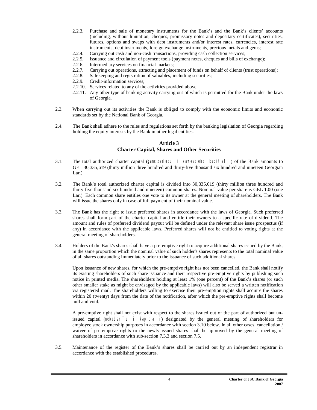- 2.2.3. Purchase and sale of monetary instruments for the Bank's and the Bank's clients' accounts (including, without limitation, cheques, promissory notes and depositary certificates), securities, futures, options and swaps with debt instruments and/or interest rates, currencies, interest rate instruments, debt instruments, foreign exchange instruments, precious metals and gems;
- 2.2.4. Carrying out cash and non-cash transactions, providing cash collection services;
- 2.2.5. Issuance and circulation of payment tools (payment notes, cheques and bills of exchange);
- 2.2.6. Intermediary services on financial markets;
- 2.2.7. Carrying out operations, attracting and placement of funds on behalf of clients (trust operations);
- 2.2.8. Safekeeping and registration of valuables, including securities;
- 2.2.9. Credit-information services;
- 2.2.10. Services related to any of the activities provided above;
- 2.2.11. Any other type of banking activity carrying out of which is permitted for the Bank under the laws of Georgia.
- 2.3. When carrying out its activities the Bank is obliged to comply with the economic limits and economic standards set by the National Bank of Georgia.
- 2.4. The Bank shall adhere to the rules and regulations set forth by the banking legislation of Georgia regarding holding the equity interests by the Bank in other legal entities.

#### **Article 3 Charter Capital, Shares and Other Securities**

- 3.1. The total authorized charter capital (*gancxadebuli sawesdebo kapitali*) of the Bank amounts to GEL 30,335,619 (thirty million three hundred and thirty-five thousand six hundred and nineteen Georgian Lari).
- 3.2. The Bank's total authorized charter capital is divided into 30,335,619 (thirty million three hundred and thirty-five thousand six hundred and nineteen) common shares. Nominal value per share is GEL 1.00 (one Lari). Each common share entitles one vote to its owner at the general meeting of shareholders. The Bank will issue the shares only in case of full payment of their nominal value.
- 3.3. The Bank has the right to issue preferred shares in accordance with the laws of Georgia. Such preferred shares shall form part of the charter capital and entitle their owners to a specific rate of dividend. The amount and rules of preferred dividend payout will be defined under the relevant share issue prospectus (if any) in accordance with the applicable laws. Preferred shares will not be entitled to voting rights at the general meeting of shareholders.
- 3.4. Holders of the Bank's shares shall have a pre-emptive right to acquire additional shares issued by the Bank, in the same proportion which the nominal value of such holder's shares represents to the total nominal value of all shares outstanding immediately prior to the issuance of such additional shares.

Upon issuance of new shares, for which the pre-emptive right has not been cancelled, the Bank shall notify its existing shareholders of such share issuance and their respective pre-emptive rights by publishing such notice in printed media. The shareholders holding at least 1% (one percent) of the Bank's shares (or such other smaller stake as might be envisaged by the applicable laws) will also be served a written notification via registered mail. The shareholders willing to exercise their pre-emption rights shall acquire the shares within 20 (twenty) days from the date of the notification, after which the pre-emptive rights shall become null and void.

A pre-emptive right shall not exist with respect to the shares issued out of the part of authorized but unissued capital (*nebadarTuli kapitali*) designated by the general meeting of shareholders for employee stock ownership purposes in accordance with section 3.10 below. In all other cases, cancellation / waiver of pre-emptive rights to the newly issued shares shall be approved by the general meeting of shareholders in accordance with sub-section 7.3.3 and section 7.5.

3.5. Maintenance of the register of the Bank's shares shall be carried out by an independent registrar in accordance with the established procedures.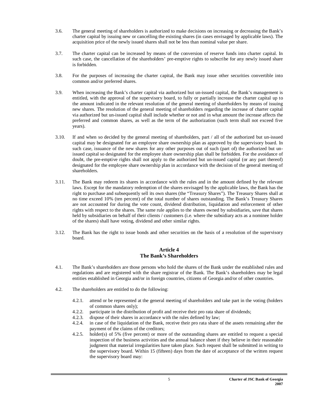- 3.6. The general meeting of shareholders is authorized to make decisions on increasing or decreasing the Bank's charter capital by issuing new or cancelling the existing shares (in cases envisaged by applicable laws). The acquisition price of the newly issued shares shall not be less than nominal value per share.
- 3.7. The charter capital can be increased by means of the conversion of reserve funds into charter capital. In such case, the cancellation of the shareholders' pre-emptive rights to subscribe for any newly issued share is forbidden.
- 3.8. For the purposes of increasing the charter capital, the Bank may issue other securities convertible into common and/or preferred shares.
- 3.9. When increasing the Bank's charter capital via authorized but un-issued capital, the Bank's management is entitled, with the approval of the supervisory board, to fully or partially increase the charter capital up to the amount indicated in the relevant resolution of the general meeting of shareholders by means of issuing new shares. The resolution of the general meeting of shareholders regarding the increase of charter capital via authorized but un-issued capital shall include whether or not and in what amount the increase affects the preferred and common shares, as well as the term of the authorization (such term shall not exceed five years).
- 3.10. If and when so decided by the general meeting of shareholders, part / all of the authorized but un-issued capital may be designated for an employee share ownership plan as approved by the supervisory board. In such case, issuance of the new shares for any other purposes out of such (part of) the authorized but unissued capital so designated for the employee share ownership plan shall be forbidden. For the avoidance of doubt, the pre-emptive rights shall not apply to the authorized but un-issued capital (or any part thereof) designated for the employee share ownership plan in accordance with the decision of the general meeting of shareholders.
- 3.11. The Bank may redeem its shares in accordance with the rules and in the amount defined by the relevant laws. Except for the mandatory redemption of the shares envisaged by the applicable laws, the Bank has the right to purchase and subsequently sell its own shares (the "Treasury Shares"). The Treasury Shares shall at no time exceed 10% (ten percent) of the total number of shares outstanding. The Bank's Treasury Shares are not accounted for during the vote count, dividend distribution, liquidation and enforcement of other rights with respect to the shares. The same rule applies to the shares owned by subsidiaries, save that shares held by subsidiaries on behalf of their clients / customers (i.e. where the subsidiary acts as a nominee holder of the shares) shall have voting, dividend and other similar rights.
- 3.12. The Bank has the right to issue bonds and other securities on the basis of a resolution of the supervisory board.

#### **Article 4 The Bank's Shareholders**

- 4.1. The Bank's shareholders are those persons who hold the shares of the Bank under the established rules and regulations and are registered with the share registrar of the Bank. The Bank's shareholders may be legal entities established in Georgia and/or in foreign countries, citizens of Georgia and/or of other countries.
- 4.2. The shareholders are entitled to do the following:
	- 4.2.1. attend or be represented at the general meeting of shareholders and take part in the voting (holders of common shares only);
	- 4.2.2. participate in the distribution of profit and receive their pro rata share of dividends;
	- 4.2.3. dispose of their shares in accordance with the rules defined by law;
	- 4.2.4. in case of the liquidation of the Bank, receive their pro rata share of the assets remaining after the payment of the claims of the creditors;
	- 4.2.5. holder(s) of 5% (five percent) or more of the outstanding shares are entitled to request a special inspection of the business activities and the annual balance sheet if they believe in their reasonable judgment that material irregularities have taken place. Such request shall be submitted in writing to the supervisory board. Within 15 (fifteen) days from the date of acceptance of the written request the supervisory board may: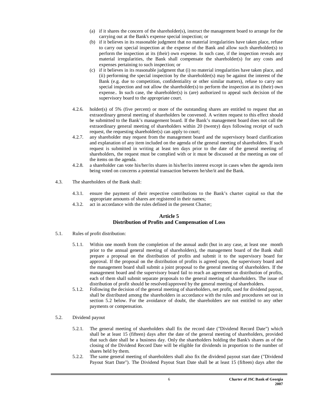- (a) if it shares the concern of the shareholder(s), instruct the management board to arrange for the carrying out at the Bank's expense special inspection; or
- (b) if it believes in its reasonable judgment that no material irregularities have taken place, refuse to carry out special inspection at the expense of the Bank and allow such shareholder(s) to perform the inspection at its (their) own expense. In such case, if the inspection reveals any material irregularities, the Bank shall compensate the shareholder(s) for any costs and expenses pertaining to such inspection; or
- (c) if it believes in its reasonable judgment that (i) no material irregularities have taken place, and (ii) performing the special inspection by the shareholder(s) may be against the interest of the Bank (e.g. due to competition, confidentiality or other similar matters), refuse to carry out special inspection and not allow the shareholder(s) to perform the inspection at its (their) own expense.. In such case, the shareholder(s) is (are) authorized to appeal such decision of the supervisory board to the appropriate court.
- 4.2.6. holder(s) of 5% (five percent) or more of the outstanding shares are entitled to request that an extraordinary general meeting of shareholders be convened. A written request to this effect should be submitted to the Bank's management board. If the Bank's management board does not call the extraordinary general meeting of shareholders within 20 (twenty) days following receipt of such request, the requesting shareholder(s) can apply to court;
- 4.2.7. any shareholder may request from the management board and the supervisory board clarification and explanation of any item included on the agenda of the general meeting of shareholders. If such request is submitted in writing at least ten days prior to the date of the general meeting of shareholders, the request must be complied with or it must be discussed at the meeting as one of the items on the agenda.
- 4.2.8. a shareholder can vote his/her/its shares in his/her/its interest except in cases when the agenda item being voted on concerns a potential transaction between he/she/it and the Bank.
- 4.3. The shareholders of the Bank shall:
	- 4.3.1. ensure the payment of their respective contributions to the Bank's charter capital so that the appropriate amounts of shares are registered in their names;
	- 4.3.2. act in accordance with the rules defined in the present Charter;

#### **Article 5 Distribution of Profits and Compensation of Loss**

- 5.1. Rules of profit distribution:
	- 5.1.1. Within one month from the completion of the annual audit (but in any case, at least one month prior to the annual general meeting of shareholders), the management board of the Bank shall prepare a proposal on the distribution of profits and submit it to the supervisory board for approval. If the proposal on the distribution of profits is agreed upon, the supervisory board and the management board shall submit a joint proposal to the general meeting of shareholders. If the management board and the supervisory board fail to reach an agreement on distribution of profits, each of them shall submit separate proposals to the general meeting of shareholders. The issue of distribution of profit should be resolved/approved by the general meeting of shareholders.
	- 5.1.2. Following the decision of the general meeting of shareholders, net profit, used for dividend payout, shall be distributed among the shareholders in accordance with the rules and procedures set out in section 5.2 below. For the avoidance of doubt, the shareholders are not entitled to any other payments or compensation.
- 5.2. Dividend payout
	- 5.2.1. The general meeting of shareholders shall fix the record date ("Dividend Record Date") which shall be at least 15 (fifteen) days after the date of the general meeting of shareholders, provided that such date shall be a business day. Only the shareholders holding the Bank's shares as of the closing of the Dividend Record Date will be eligible for dividends in proportion to the number of shares held by them.
	- 5.2.2. The same general meeting of shareholders shall also fix the dividend payout start date ("Dividend Payout Start Date"). The Dividend Payout Start Date shall be at least 15 (fifteen) days after the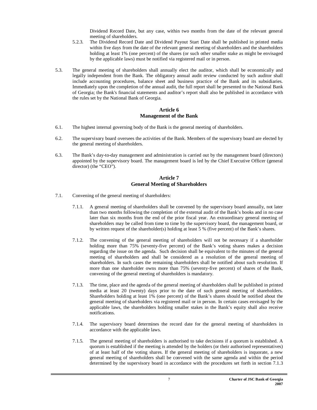Dividend Record Date, but any case, within two months from the date of the relevant general meeting of shareholders.

- 5.2.3. The Dividend Record Date and Dividend Payout Start Date shall be published in printed media within five days from the date of the relevant general meeting of shareholders and the shareholders holding at least 1% (one percent) of the shares (or such other smaller stake as might be envisaged by the applicable laws) must be notified via registered mail or in person.
- 5.3. The general meeting of shareholders shall annually elect the auditor, which shall be economically and legally independent from the Bank. The obligatory annual audit review conducted by such auditor shall include accounting procedures, balance sheet and business practice of the Bank and its subsidiaries. Immediately upon the completion of the annual audit, the full report shall be presented to the National Bank of Georgia; the Bank's financial statements and auditor's report shall also be published in accordance with the rules set by the National Bank of Georgia.

#### **Article 6 Management of the Bank**

- 6.1. The highest internal governing body of the Bank is the general meeting of shareholders.
- 6.2. The supervisory board oversees the activities of the Bank. Members of the supervisory board are elected by the general meeting of shareholders.
- 6.3. The Bank's day-to-day management and administration is carried out by the management board (directors) appointed by the supervisory board. The management board is led by the Chief Executive Officer (general director) (the "CEO").

#### **Article 7 General Meeting of Shareholders**

- 7.1. Convening of the general meeting of shareholders:
	- 7.1.1. A general meeting of shareholders shall be convened by the supervisory board annually, not later than two months following the completion of the external audit of the Bank's books and in no case later than six months from the end of the prior fiscal year. An extraordinary general meeting of shareholders may be called from time to time by the supervisory board, the management board, or by written request of the shareholder(s) holding at least 5 % (five percent) of the Bank's shares.
	- 7.1.2. The convening of the general meeting of shareholders will not be necessary if a shareholder holding more than 75% (seventy-five percent) of the Bank's voting shares makes a decision regarding the issue on the agenda. Such decision shall be equivalent to the minutes of the general meeting of shareholders and shall be considered as a resolution of the general meeting of shareholders. In such cases the remaining shareholders shall be notified about such resolution. If more than one shareholder owns more than 75% (seventy-five percent) of shares of the Bank, convening of the general meeting of shareholders is mandatory.
	- 7.1.3. The time, place and the agenda of the general meeting of shareholders shall be published in printed media at least 20 (twenty) days prior to the date of such general meeting of shareholders. Shareholders holding at least 1% (one percent) of the Bank's shares should be notified about the general meeting of shareholders via registered mail or in person. In certain cases envisaged by the applicable laws, the shareholders holding smaller stakes in the Bank's equity shall also receive notifications.
	- 7.1.4. The supervisory board determines the record date for the general meeting of shareholders in accordance with the applicable laws.
	- 7.1.5. The general meeting of shareholders is authorised to take decisions if a quorum is established. A quorum is established if the meeting is attended by the holders (or their authorised representatives) of at least half of the voting shares. If the general meeting of shareholders is inquorate, a new general meeting of shareholders shall be convened with the same agenda and within the period determined by the supervisory board in accordance with the procedures set forth in section 7.1.3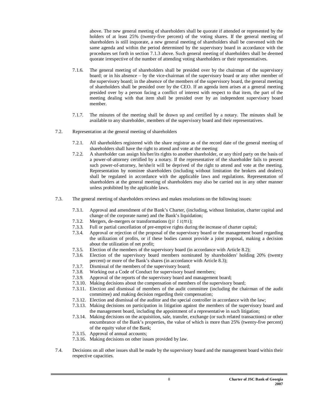above. The new general meeting of shareholders shall be quorate if attended or represented by the holders of at least 25% (twenty-five percent) of the voting shares. If the general meeting of shareholders is still inquorate, a new general meeting of shareholders shall be convened with the same agenda and within the period determined by the supervisory board in accordance with the procedures set forth in section 7.1.3 above. Such general meeting of shareholders shall be deemed quorate irrespective of the number of attending voting shareholders or their representatives.

- 7.1.6. The general meeting of shareholders shall be presided over by the chairman of the supervisory board; or in his absence – by the vice-chairman of the supervisory board or any other member of the supervisory board; in the absence of the members of the supervisory board, the general meeting of shareholders shall be presided over by the CEO. If an agenda item arises at a general meeting presided over by a person facing a conflict of interest with respect to that item, the part of the meeting dealing with that item shall be presided over by an independent supervisory board member.
- 7.1.7. The minutes of the meeting shall be drawn up and certified by a notary. The minutes shall be available to any shareholder, members of the supervisory board and their representatives.
- 7.2. Representation at the general meeting of shareholders
	- 7.2.1. All shareholders registered with the share registrar as of the record date of the general meeting of shareholders shall have the right to attend and vote at the meeting
	- 7.2.2. A shareholder can assign his/her/its rights to another shareholder, or any third party on the basis of a power-of-attorney certified by a notary. If the representative of the shareholder fails to present such power-of-attorney, he/she/it will be deprived of the right to attend and vote at the meeting. Representation by nominee shareholders (including without limitation the brokers and dealers) shall be regulated in accordance with the applicable laws and regulations. Representation of shareholders at the general meeting of shareholders may also be carried out in any other manner unless prohibited by the applicable laws.
- 7.3. The general meeting of shareholders reviews and makes resolutions on the following issues:
	- 7.3.1. Approval and amendment of the Bank's Charter, (including, without limitation, charter capital and change of the corporate name) and the Bank's liquidation;
	- 7.3.2. Mergers, de-mergers or transformations (*gardaqmna*);
	- 7.3.3. Full or partial cancellation of pre-emptive rights during the increase of charter capital;
	- 7.3.4. Approval or rejection of the proposal of the supervisory board or the management board regarding the utilization of profits, or if these bodies cannot provide a joint proposal, making a decision about the utilization of net profit;
	- 7.3.5. Election of the members of the supervisory board (in accordance with Article 8.2);
	- 7.3.6. Election of the supervisory board members nominated by shareholders' holding 20% (twenty percent) or more of the Bank's shares (in accordance with Article 8.3);
	- 7.3.7. Dismissal of the members of the supervisory board;
	- 7.3.8. Working out a Code of Conduct for supervisory board members;
	- 7.3.9. Approval of the reports of the supervisory board and management board;
	- 7.3.10. Making decisions about the compensation of members of the supervisory board;
	- 7.3.11. Election and dismissal of members of the audit committee (including the chairman of the audit committee) and making decision regarding their compensation;
	- 7.3.12. Election and dismissal of the auditor and the special controller in accordance with the law;
	- 7.3.13. Making decisions on participation in litigation against the members of the supervisory board and the management board, including the appointment of a representative in such litigation;
	- 7.3.14. Making decisions on the acquisition, sale, transfer, exchange (or such related transactions) or other encumbrance of the Bank's properties, the value of which is more than 25% (twenty-five percent) of the equity value of the Bank;
	- 7.3.15. Approval of annual accounts;
	- 7.3.16. Making decisions on other issues provided by law.
- 7.4. Decisions on all other issues shall be made by the supervisory board and the management board within their respective capacities.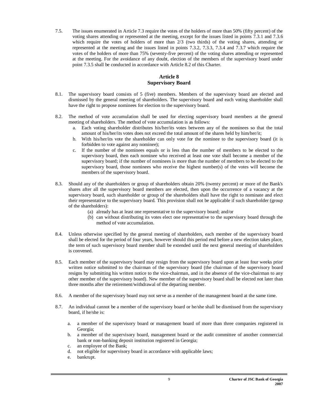7.5. The issues enumerated in Article 7.3 require the votes of the holders of more than 50% (fifty percent) of the voting shares attending or represented at the meeting, except for the issues listed in points 7.3.1 and 7.3.6 which require the votes of holders of more than  $2/3$  (two thirds) of the voting shares, attending or represented at the meeting and the issues listed in points 7.3.2, 7.3.3, 7.3.4 and 7.3.7 which require the votes of the holders of more than 75% (seventy-five percent) of the voting shares attending or represented at the meeting. For the avoidance of any doubt, election of the members of the supervisory board under point 7.3.5 shall be conducted in accordance with Article 8.2 of this Charter.

### **Article 8 Supervisory Board**

- 8.1. The supervisory board consists of 5 (five) members. Members of the supervisory board are elected and dismissed by the general meeting of shareholders. The supervisory board and each voting shareholder shall have the right to propose nominees for election to the supervisory board.
- 8.2. The method of vote accumulation shall be used for electing supervisory board members at the general meeting of shareholders. The method of vote accumulation is as follows:
	- a. Each voting shareholder distributes his/her/its votes between any of the nominees so that the total amount of his/her/its votes does not exceed the total amount of the shares held by him/her/it;
	- b. With his/her/its vote the shareholder can only vote for the nominee to the supervisory board (it is forbidden to vote against any nominee);
	- c. If the number of the nominees equals or is less than the number of members to be elected to the supervisory board, then each nominee who received at least one vote shall become a member of the supervisory board; if the number of nominees is more than the number of members to be elected to the supervisory board, those nominees who receive the highest number(s) of the votes will become the members of the supervisory board.
- 8.3. Should any of the shareholders or group of shareholders obtain 20% (twenty percent) or more of the Bank's shares after all the supervisory board members are elected, then upon the occurrence of a vacancy at the supervisory board, such shareholder or group of the shareholders shall have the right to nominate and elect their representative to the supervisory board. This provision shall not be applicable if such shareholder (group of the shareholders):
	- (a) already has at least one representative to the supervisory board; and/or
	- (b) can without distributing its votes elect one representative to the supervisory board through the method of vote accumulation.
- 8.4. Unless otherwise specified by the general meeting of shareholders, each member of the supervisory board shall be elected for the period of four years, however should this period end before a new election takes place, the term of such supervisory board member shall be extended until the next general meeting of shareholders is convened.
- 8.5. Each member of the supervisory board may resign from the supervisory board upon at least four weeks prior written notice submitted to the chairman of the supervisory board (the chairman of the supervisory board resigns by submitting his written notice to the vice-chairman, and in the absence of the vice-chairman to any other member of the supervisory board). New member of the supervisory board shall be elected not later than three months after the retirement/withdrawal of the departing member.
- 8.6. A member of the supervisory board may not serve as a member of the management board at the same time.
- 8.7. An individual cannot be a member of the supervisory board or he/she shall be dismissed from the supervisory board, if he/she is:
	- a. a member of the supervisory board or management board of more than three companies registered in Georgia;
	- b. a member of the supervisory board, management board or the audit committee of another commercial bank or non-banking deposit institution registered in Georgia;
	- c. an employee of the Bank;
	- d. not eligible for supervisory board in accordance with applicable laws;
	- e. bankrupt.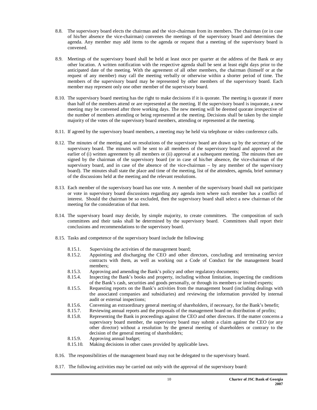- 8.8. The supervisory board elects the chairman and the vice-chairman from its members. The chairman (or in case of his/her absence the vice-chairman) convenes the meetings of the supervisory board and determines the agenda. Any member may add items to the agenda or request that a meeting of the supervisory board is convened.
- 8.9. Meetings of the supervisory board shall be held at least once per quarter at the address of the Bank or any other location. A written notification with the respective agenda shall be sent at least eight days prior to the anticipated date of the meeting. With the agreement of all other members, the chairman (himself or at the request of any member) may call the meeting verbally or otherwise within a shorter period of time. The members of the supervisory board may be represented by other members of the supervisory board. Each member may represent only one other member of the supervisory board.
- 8.10. The supervisory board meeting has the right to make decisions if it is quorate. The meeting is quorate if more than half of the members attend or are represented at the meeting. If the supervisory board is inquorate, a new meeting may be convened after three working days. The new meeting will be deemed quorate irrespective of the number of members attending or being represented at the meeting. Decisions shall be taken by the simple majority of the votes of the supervisory board members, attending or represented at the meeting.
- 8.11. If agreed by the supervisory board members, a meeting may be held via telephone or video conference calls.
- 8.12. The minutes of the meeting and on resolutions of the supervisory board are drawn up by the secretary of the supervisory board. The minutes will be sent to all members of the supervisory board and approved at the earlier of (i) written agreement by all members or (ii) approval at a subsequent meeting. The minutes then are signed by the chairman of the supervisory board (or in case of his/her absence, the vice-chairman of the supervisory board, and in case of the absence of the vice-chairman – by any member of the supervisory board). The minutes shall state the place and time of the meeting, list of the attendees, agenda, brief summary of the discussions held at the meeting and the relevant resolutions.
- 8.13. Each member of the supervisory board has one vote. A member of the supervisory board shall not participate or vote in supervisory board discussions regarding any agenda item where such member has a conflict of interest. Should the chairman be so excluded, then the supervisory board shall select a new chairman of the meeting for the consideration of that item.
- 8.14. The supervisory board may decide, by simple majority, to create committees. The composition of such committees and their tasks shall be determined by the supervisory board. Committees shall report their conclusions and recommendations to the supervisory board.
- 8.15. Tasks and competence of the supervisory board include the following:
	- 8.15.1. Supervising the activities of the management board;
	- 8.15.2. Appointing and discharging the CEO and other directors, concluding and terminating service contracts with them, as well as working out a Code of Conduct for the management board members;
	- 8.15.3. Approving and amending the Bank's policy and other regulatory documents;
	- 8.15.4. Inspecting the Bank's books and property, including without limitation, inspecting the conditions of the Bank's cash, securities and goods personally, or through its members or invited experts;
	- 8.15.5. Requesting reports on the Bank's activities from the management board (including dealings with the associated companies and subsidiaries) and reviewing the information provided by internal audit or external inspections;
	- 8.15.6. Convening an extraordinary general meeting of shareholders, if necessary, for the Bank's benefit;
	- 8.15.7. Reviewing annual reports and the proposals of the management board on distribution of profits;
	- 8.15.8. Representing the Bank in proceedings against the CEO and other directors. If the matter concerns a supervisory board member, the supervisory board may submit a claim against the CEO (or any other director) without a resolution by the general meeting of shareholders or contrary to the decision of the general meeting of shareholders;
	- 8.15.9. Approving annual budget;
	- 8.15.10. Making decisions in other cases provided by applicable laws.
- 8.16. The responsibilities of the management board may not be delegated to the supervisory board.
- 8.17. The following activities may be carried out only with the approval of the supervisory board: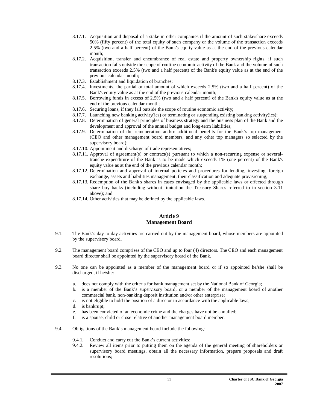- 8.17.1. Acquisition and disposal of a stake in other companies if the amount of such stake/share exceeds 50% (fifty percent) of the total equity of such company or the volume of the transaction exceeds 2.5% (two and a half percent) of the Bank's equity value as at the end of the previous calendar month;
- 8.17.2. Acquisition, transfer and encumbrance of real estate and property ownership rights, if such transaction falls outside the scope of routine economic activity of the Bank and the volume of such transaction exceeds 2.5% (two and a half percent) of the Bank's equity value as at the end of the previous calendar month;
- 8.17.3. Establishment and liquidation of branches;
- 8.17.4. Investments, the partial or total amount of which exceeds 2.5% (two and a half percent) of the Bank's equity value as at the end of the previous calendar month;
- 8.17.5. Borrowing funds in excess of 2.5% (two and a half percent) of the Bank's equity value as at the end of the previous calendar month;
- 8.17.6. Securing loans, if they fall outside the scope of routine economic activity;
- 8.17.7. Launching new banking activity(ies) or terminating or suspending existing banking activity(ies);
- 8.17.8. Determination of general principles of business strategy and the business plan of the Bank and the development and approval of the annual budget and long-term liabilities;
- 8.17.9. Determination of the remuneration and/or additional benefits for the Bank's top management (CEO and other management board members, and any other top managers so selected by the supervisory board);
- 8.17.10. Appointment and discharge of trade representatives;
- 8.17.11. Approval of agreement(s) or contract(s) pursuant to which a non-recurring expense or severaltranche expenditure of the Bank is to be made which exceeds 1% (one percent) of the Bank's equity value as at the end of the previous calendar month;
- 8.17.12. Determination and approval of internal policies and procedures for lending, investing, foreign exchange, assets and liabilities management, their classification and adequate provisioning;
- 8.17.13. Redemption of the Bank's shares in cases envisaged by the applicable laws or effected through share buy backs (including without limitation the Treasury Shares referred to in section 3.11 above); and
- 8.17.14. Other activities that may be defined by the applicable laws.

#### **Article 9 Management Board**

- 9.1. The Bank's day-to-day activities are carried out by the management board, whose members are appointed by the supervisory board.
- 9.2. The management board comprises of the CEO and up to four (4) directors. The CEO and each management board director shall be appointed by the supervisory board of the Bank.
- 9.3. No one can be appointed as a member of the management board or if so appointed he/she shall be discharged, if he/she:
	- a. does not comply with the criteria for bank management set by the National Bank of Georgia;
	- b. is a member of the Bank's supervisory board, or a member of the management board of another commercial bank, non-banking deposit institution and/or other enterprise;
	- c. is not eligible to hold the position of a director in accordance with the applicable laws;
	- d. is bankrupt;
	- e. has been convicted of an economic crime and the charges have not be annulled;
	- f. is a spouse, child or close relative of another management board member.
- 9.4. Obligations of the Bank's management board include the following:
	- 9.4.1. Conduct and carry out the Bank's current activities;
	- 9.4.2. Review all items prior to putting them on the agenda of the general meeting of shareholders or supervisory board meetings, obtain all the necessary information, prepare proposals and draft resolutions;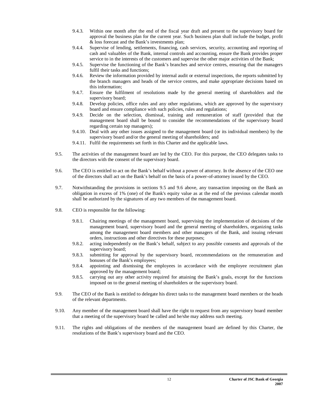- 9.4.3. Within one month after the end of the fiscal year draft and present to the supervisory board for approval the business plan for the current year. Such business plan shall include the budget, profit & loss forecast and the Bank's investments plan;
- 9.4.4. Supervise of lending, settlements, financing, cash services, security, accounting and reporting of cash and valuables of the Bank, internal controls and accounting, ensure the Bank provides proper service to in the interests of the customers and supervise the other major activities of the Bank;
- 9.4.5. Supervise the functioning of the Bank's branches and service centres, ensuring that the managers fulfil their tasks and functions;
- 9.4.6. Review the information provided by internal audit or external inspections, the reports submitted by the branch managers and heads of the service centres, and make appropriate decisions based on this information;
- 9.4.7. Ensure the fulfilment of resolutions made by the general meeting of shareholders and the supervisory board;
- 9.4.8. Develop policies, office rules and any other regulations, which are approved by the supervisory board and ensure compliance with such policies, rules and regulations;
- 9.4.9. Decide on the selection, dismissal, training and remuneration of staff (provided that the management board shall be bound to consider the recommendations of the supervisory board regarding certain top managers);
- 9.4.10. Deal with any other issues assigned to the management board (or its individual members) by the supervisory board and/or the general meeting of shareholders; and
- 9.4.11. Fulfil the requirements set forth in this Charter and the applicable laws.
- 9.5. The activities of the management board are led by the CEO. For this purpose, the CEO delegates tasks to the directors with the consent of the supervisory board.
- 9.6. The CEO is entitled to act on the Bank's behalf without a power of attorney. In the absence of the CEO one of the directors shall act on the Bank's behalf on the basis of a power-of-attorney issued by the CEO.
- 9.7. Notwithstanding the provisions in sections 9.5 and 9.6 above, any transaction imposing on the Bank an obligation in excess of 1% (one) of the Bank's equity value as at the end of the previous calendar month shall be authorized by the signatures of any two members of the management board.
- 9.8. CEO is responsible for the following:
	- 9.8.1. Chairing meetings of the management board, supervising the implementation of decisions of the management board, supervisory board and the general meeting of shareholders, organizing tasks among the management board members and other managers of the Bank, and issuing relevant orders, instructions and other directives for these purposes;
	- 9.8.2. acting independently on the Bank's behalf, subject to any possible consents and approvals of the supervisory board;
	- 9.8.3. submitting for approval by the supervisory board, recommendations on the remuneration and bonuses of the Bank's employees;
	- 9.8.4. appointing and dismissing the employees in accordance with the employee recruitment plan approved by the management board;
	- 9.8.5. carrying out any other activity required for attaining the Bank's goals, except for the functions imposed on to the general meeting of shareholders or the supervisory board.
- 9.9. The CEO of the Bank is entitled to delegate his direct tasks to the management board members or the heads of the relevant departments.
- 9.10. Any member of the management board shall have the right to request from any supervisory board member that a meeting of the supervisory board be called and he/she may address such meeting.
- 9.11. The rights and obligations of the members of the management board are defined by this Charter, the resolutions of the Bank's supervisory board and the CEO.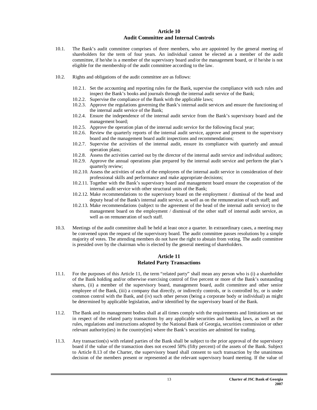#### **Article 10 Audit Committee and Internal Controls**

- 10.1. The Bank's audit committee comprises of three members, who are appointed by the general meeting of shareholders for the term of four years. An individual cannot be elected as a member of the audit committee, if he/she is a member of the supervisory board and/or the management board, or if he/she is not eligible for the membership of the audit committee according to the law.
- 10.2. Rights and obligations of the audit committee are as follows:
	- 10.2.1. Set the accounting and reporting rules for the Bank, supervise the compliance with such rules and inspect the Bank's books and journals through the internal audit service of the Bank;
	- 10.2.2. Supervise the compliance of the Bank with the applicable laws;
	- 10.2.3. Approve the regulations governing the Bank's internal audit services and ensure the functioning of the internal audit service of the Bank;
	- 10.2.4. Ensure the independence of the internal audit service from the Bank's supervisory board and the management board;
	- 10.2.5. Approve the operation plan of the internal audit service for the following fiscal year;
	- 10.2.6. Review the quarterly reports of the internal audit service, approve and present to the supervisory board and the management board audit inspections and recommendations;
	- 10.2.7. Supervise the activities of the internal audit, ensure its compliance with quarterly and annual operation plans;
	- 10.2.8. Assess the activities carried out by the director of the internal audit service and individual auditors;
	- 10.2.9. Approve the annual operations plan prepared by the internal audit service and perform the plan's quarterly review;
	- 10.2.10. Assess the activities of each of the employees of the internal audit service in consideration of their professional skills and performance and make appropriate decisions;
	- 10.2.11. Together with the Bank's supervisory board and management board ensure the cooperation of the internal audit service with other structural units of the Bank;
	- 10.2.12. Make recommendations to the supervisory board on the employment / dismissal of the head and deputy head of the Bank's internal audit service, as well as on the remuneration of such staff; and
	- 10.2.13. Make recommendations (subject to the agreement of the head of the internal audit service) to the management board on the employment / dismissal of the other staff of internal audit service, as well as on remuneration of such staff.
- 10.3. Meetings of the audit committee shall be held at least once a quarter. In extraordinary cases, a meeting may be convened upon the request of the supervisory board. The audit committee passes resolutions by a simple majority of votes. The attending members do not have the right to abstain from voting. The audit committee is presided over by the chairman who is elected by the general meeting of shareholders.

#### **Article 11 Related Party Transactions**

- 11.1. For the purposes of this Article 11, the term "related party" shall mean any person who is (i) a shareholder of the Bank holding and/or otherwise exercising control of five percent or more of the Bank's outstanding shares, (ii) a member of the supervisory board, management board, audit committee and other senior employee of the Bank, (iii) a company that directly, or indirectly controls, or is controlled by, or is under common control with the Bank, and (iv) such other person (being a corporate body or individual) as might be determined by applicable legislation, and/or identified by the supervisory board of the Bank.
- 11.2. The Bank and its management bodies shall at all times comply with the requirements and limitations set out in respect of the related party transactions by any applicable securities and banking laws, as well as the rules, regulations and instructions adopted by the National Bank of Georgia, securities commission or other relevant authority(ies) in the country(ies) where the Bank's securities are admitted for trading.
- 11.3. Any transaction(s) with related parties of the Bank shall be subject to the prior approval of the supervisory board if the value of the transaction does not exceed 50% (fifty percent) of the assets of the Bank. Subject to Article 8.13 of the Charter, the supervisory board shall consent to such transaction by the unanimous decision of the members present or represented at the relevant supervisory board meeting. If the value of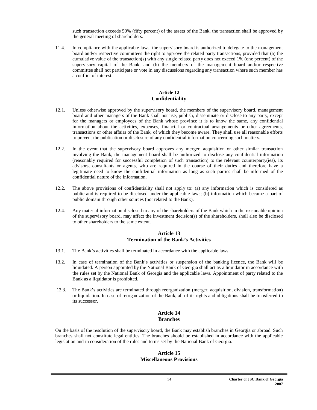such transaction exceeds 50% (fifty percent) of the assets of the Bank, the transaction shall be approved by the general meeting of shareholders.

11.4. In compliance with the applicable laws, the supervisory board is authorized to delegate to the management board and/or respective committees the right to approve the related party transactions, provided that (a) the cumulative value of the transaction(s) with any single related party does not exceed 1% (one percent) of the supervisory capital of the Bank, and (b) the members of the management board and/or respective committee shall not participate or vote in any discussions regarding any transaction where such member has a conflict of interest.

#### **Article 12 Confidentiality**

- 12.1. Unless otherwise approved by the supervisory board, the members of the supervisory board, management board and other managers of the Bank shall not use, publish, disseminate or disclose to any party, except for the managers or employees of the Bank whose province it is to know the same, any confidential information about the activities, expenses, financial or contractual arrangements or other agreements, transactions or other affairs of the Bank, of which they become aware. They shall use all reasonable efforts to prevent the publication or disclosure of any confidential information concerning such matters.
- 12.2. In the event that the supervisory board approves any merger, acquisition or other similar transaction involving the Bank, the management board shall be authorized to disclose any confidential information (reasonably required for successful completion of such transaction) to the relevant counterparty(ies), its advisors, consultants or agents, who are required in the course of their duties and therefore have a legitimate need to know the confidential information as long as such parties shall be informed of the confidential nature of the information.
- 12.2. The above provisions of confidentiality shall not apply to: (a) any information which is considered as public and is required to be disclosed under the applicable laws; (b) information which became a part of public domain through other sources (not related to the Bank).
- 12.4. Any material information disclosed to any of the shareholders of the Bank which in the reasonable opinion of the supervisory board, may affect the investment decision(s) of the shareholders, shall also be disclosed to other shareholders to the same extent.

#### **Article 13 Termination of the Bank's Activities**

- 13.1. The Bank's activities shall be terminated in accordance with the applicable laws.
- 13.2. In case of termination of the Bank's activities or suspension of the banking licence, the Bank will be liquidated. A person appointed by the National Bank of Georgia shall act as a liquidator in accordance with the rules set by the National Bank of Georgia and the applicable laws. Appointment of party related to the Bank as a liquidator is prohibited.
- 13.3. The Bank's activities are terminated through reorganization (merger, acquisition, division, transformation) or liquidation. In case of reorganization of the Bank, all of its rights and obligations shall be transferred to its successor.

#### **Article 14 Branches**

On the basis of the resolution of the supervisory board, the Bank may establish branches in Georgia or abroad. Such branches shall not constitute legal entities. The branches should be established in accordance with the applicable legislation and in consideration of the rules and terms set by the National Bank of Georgia.

#### **Article 15 Miscellaneous Provisions**